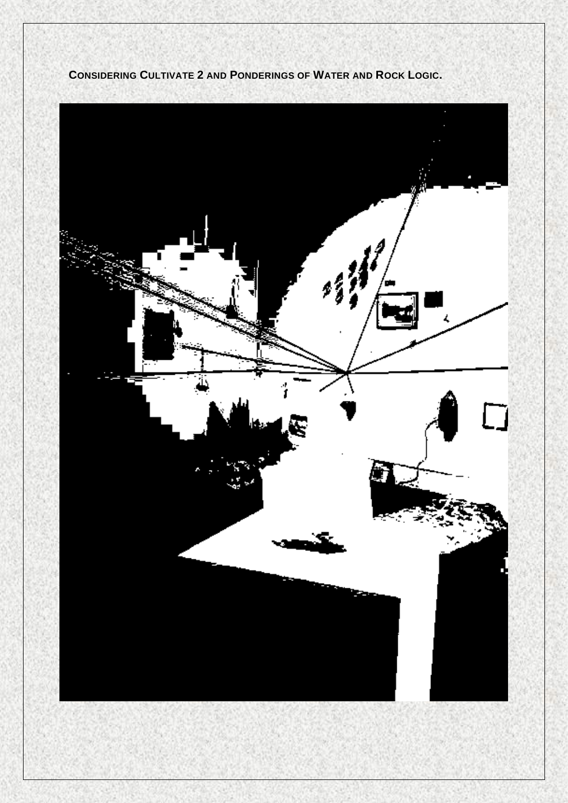

**CONSIDERING CULTIVATE 2 AND PONDERINGS OF WATER AND ROCK LOGIC.**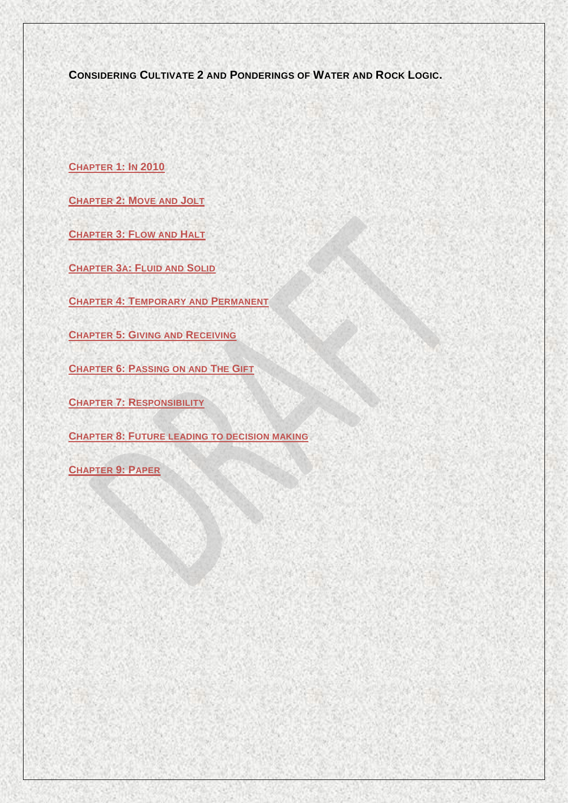**CONSIDERING CULTIVATE 2 AND PONDERINGS OF WATER AND ROCK LOGIC.**

**CHAPTER 1: IN 2010**

**CHAPTER 2: MOVE AND JOLT**

**CHAPTER 3: FLOW AND HALT**

**CHAPTER 3A: FLUID AND SOLID**

**CHAPTER 4: TEMPORARY AND PERMANENT**

**CHAPTER 5: GIVING AND RECEIVING**

**CHAPTER 6: PASSING ON AND THE GIFT**

**CHAPTER 7: RESPONSIBILITY**

**CHAPTER 8: FUTURE LEADING TO DECISION MAKING**

**CHAPTER 9: PAPER**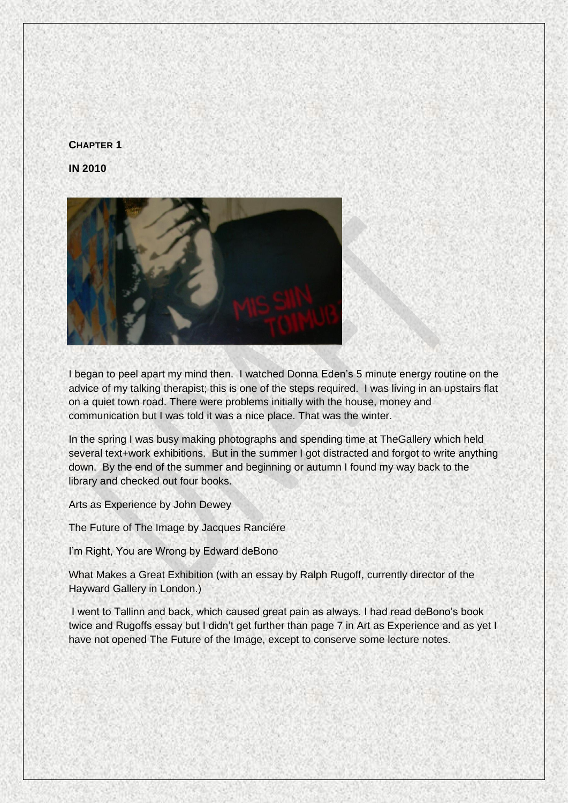# **CHAPTER 1**





I began to peel apart my mind then. I watched Donna Eden's 5 minute energy routine on the advice of my talking therapist; this is one of the steps required. I was living in an upstairs flat on a quiet town road. There were problems initially with the house, money and communication but I was told it was a nice place. That was the winter.

In the spring I was busy making photographs and spending time at TheGallery which held several text+work exhibitions. But in the summer I got distracted and forgot to write anything down. By the end of the summer and beginning or autumn I found my way back to the library and checked out four books.

Arts as Experience by John Dewey

The Future of The Image by Jacques Ranciére

I'm Right, You are Wrong by Edward deBono

What Makes a Great Exhibition (with an essay by Ralph Rugoff, currently director of the Hayward Gallery in London.)

I went to Tallinn and back, which caused great pain as always. I had read deBono's book twice and Rugoffs essay but I didn't get further than page 7 in Art as Experience and as yet I have not opened The Future of the Image, except to conserve some lecture notes.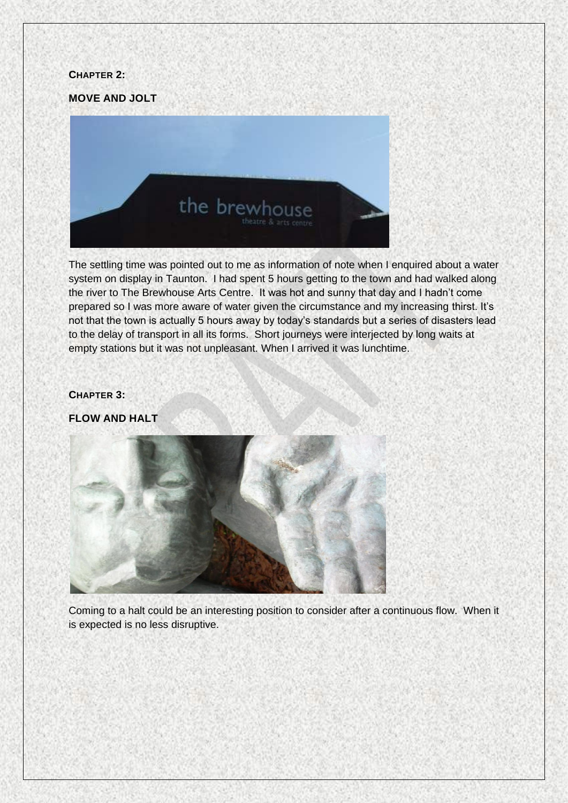#### **CHAPTER 2:**

**MOVE AND JOLT**



The settling time was pointed out to me as information of note when I enquired about a water system on display in Taunton. I had spent 5 hours getting to the town and had walked along the river to The Brewhouse Arts Centre. It was hot and sunny that day and I hadn't come prepared so I was more aware of water given the circumstance and my increasing thirst. It's not that the town is actually 5 hours away by today's standards but a series of disasters lead to the delay of transport in all its forms. Short journeys were interjected by long waits at empty stations but it was not unpleasant. When I arrived it was lunchtime.

### **CHAPTER 3:**

**FLOW AND HALT**



Coming to a halt could be an interesting position to consider after a continuous flow. When it is expected is no less disruptive.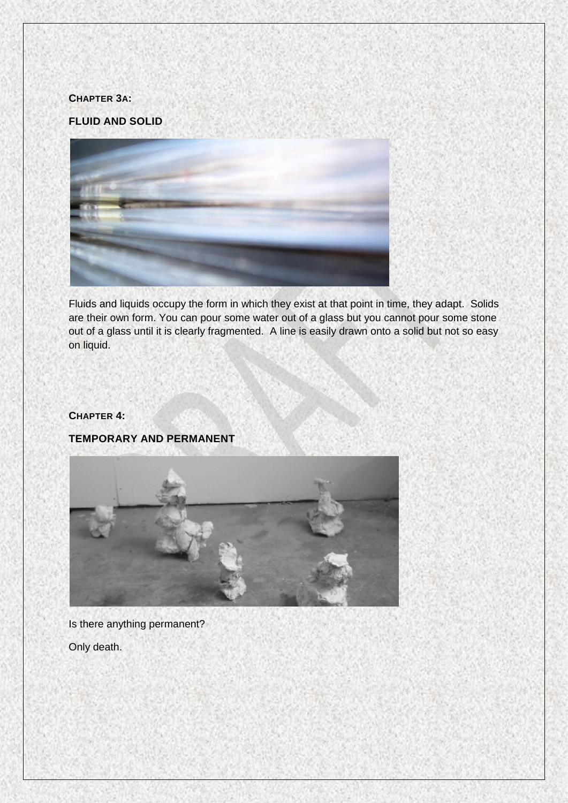#### **CHAPTER 3A:**

# **FLUID AND SOLID**



Fluids and liquids occupy the form in which they exist at that point in time, they adapt. Solids are their own form. You can pour some water out of a glass but you cannot pour some stone out of a glass until it is clearly fragmented. A line is easily drawn onto a solid but not so easy on liquid.

# **CHAPTER 4:**

# **TEMPORARY AND PERMANENT**



Is there anything permanent?

Only death.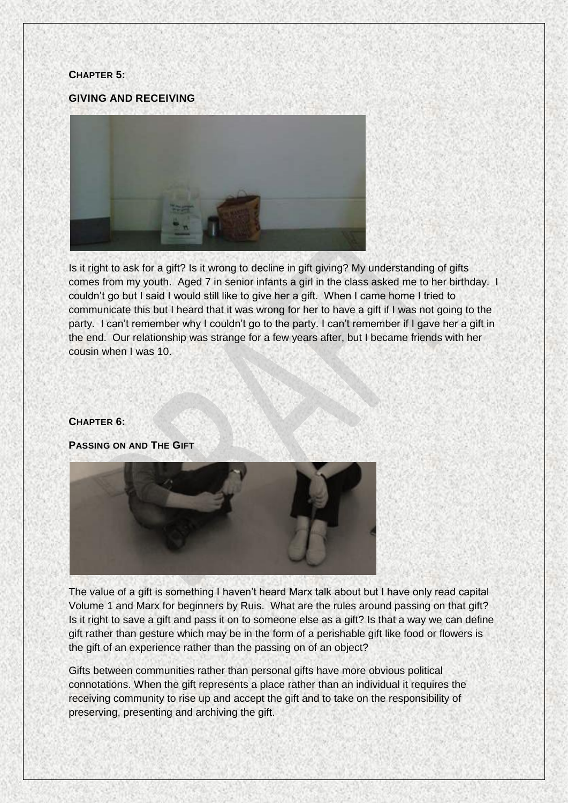#### **CHAPTER 5:**

#### **GIVING AND RECEIVING**



Is it right to ask for a gift? Is it wrong to decline in gift giving? My understanding of gifts comes from my youth. Aged 7 in senior infants a girl in the class asked me to her birthday. I couldn't go but I said I would still like to give her a gift. When I came home I tried to communicate this but I heard that it was wrong for her to have a gift if I was not going to the party. I can't remember why I couldn't go to the party. I can't remember if I gave her a gift in the end. Our relationship was strange for a few years after, but I became friends with her cousin when I was 10.

#### **CHAPTER 6:**

**PASSING ON AND THE GIFT**



The value of a gift is something I haven't heard Marx talk about but I have only read capital Volume 1 and Marx for beginners by Ruis. What are the rules around passing on that gift? Is it right to save a gift and pass it on to someone else as a gift? Is that a way we can define gift rather than gesture which may be in the form of a perishable gift like food or flowers is the gift of an experience rather than the passing on of an object?

Gifts between communities rather than personal gifts have more obvious political connotations. When the gift represents a place rather than an individual it requires the receiving community to rise up and accept the gift and to take on the responsibility of preserving, presenting and archiving the gift.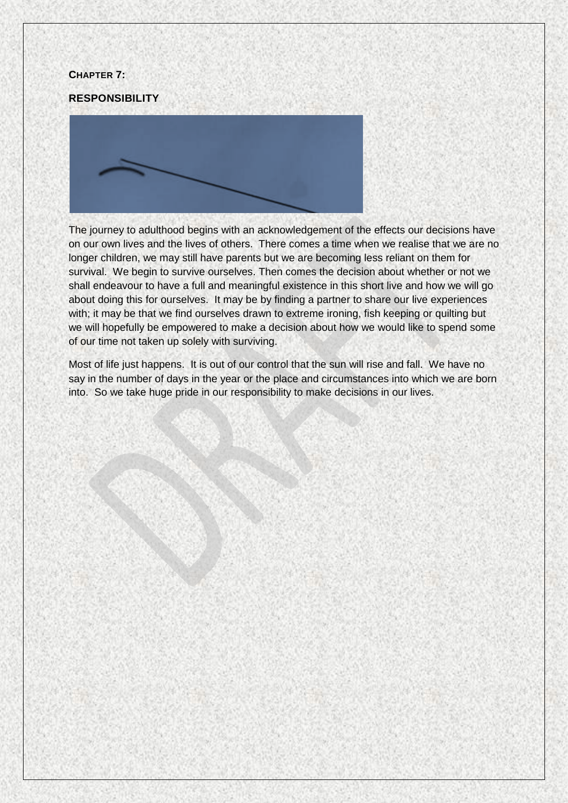#### **CHAPTER 7:**

#### **RESPONSIBILITY**



The journey to adulthood begins with an acknowledgement of the effects our decisions have on our own lives and the lives of others. There comes a time when we realise that we are no longer children, we may still have parents but we are becoming less reliant on them for survival. We begin to survive ourselves. Then comes the decision about whether or not we shall endeavour to have a full and meaningful existence in this short live and how we will go about doing this for ourselves. It may be by finding a partner to share our live experiences with; it may be that we find ourselves drawn to extreme ironing, fish keeping or quilting but we will hopefully be empowered to make a decision about how we would like to spend some of our time not taken up solely with surviving.

Most of life just happens. It is out of our control that the sun will rise and fall. We have no say in the number of days in the year or the place and circumstances into which we are born into. So we take huge pride in our responsibility to make decisions in our lives.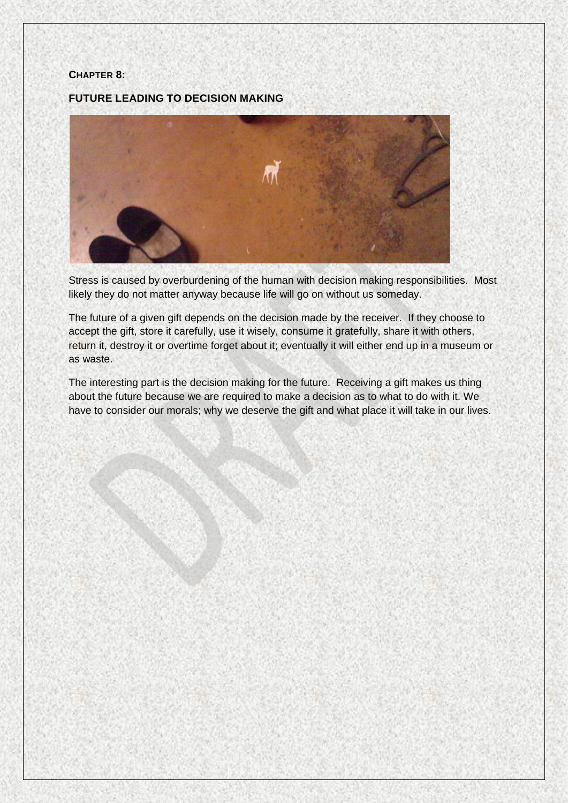### **CHAPTER 8:**

**FUTURE LEADING TO DECISION MAKING**



Stress is caused by overburdening of the human with decision making responsibilities. Most likely they do not matter anyway because life will go on without us someday.

The future of a given gift depends on the decision made by the receiver. If they choose to accept the gift, store it carefully, use it wisely, consume it gratefully, share it with others, return it, destroy it or overtime forget about it; eventually it will either end up in a museum or as waste.

The interesting part is the decision making for the future. Receiving a gift makes us thing about the future because we are required to make a decision as to what to do with it. We have to consider our morals; why we deserve the gift and what place it will take in our lives.